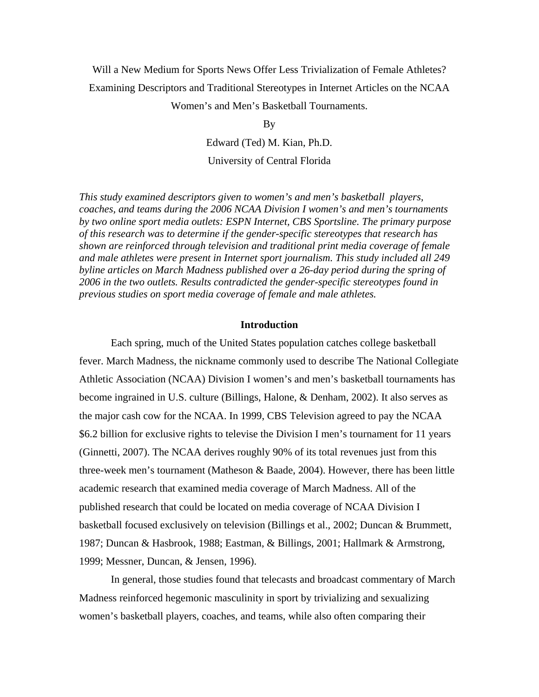# Will a New Medium for Sports News Offer Less Trivialization of Female Athletes? Examining Descriptors and Traditional Stereotypes in Internet Articles on the NCAA

Women's and Men's Basketball Tournaments.

By

Edward (Ted) M. Kian, Ph.D. University of Central Florida

*This study examined descriptors given to women's and men's basketball players, coaches, and teams during the 2006 NCAA Division I women's and men's tournaments by two online sport media outlets: ESPN Internet, CBS Sportsline. The primary purpose of this research was to determine if the gender-specific stereotypes that research has shown are reinforced through television and traditional print media coverage of female and male athletes were present in Internet sport journalism. This study included all 249 byline articles on March Madness published over a 26-day period during the spring of 2006 in the two outlets. Results contradicted the gender-specific stereotypes found in previous studies on sport media coverage of female and male athletes.* 

# **Introduction**

Each spring, much of the United States population catches college basketball fever. March Madness, the nickname commonly used to describe The National Collegiate Athletic Association (NCAA) Division I women's and men's basketball tournaments has become ingrained in U.S. culture (Billings, Halone, & Denham, 2002). It also serves as the major cash cow for the NCAA. In 1999, CBS Television agreed to pay the NCAA \$6.2 billion for exclusive rights to televise the Division I men's tournament for 11 years (Ginnetti, 2007). The NCAA derives roughly 90% of its total revenues just from this three-week men's tournament (Matheson & Baade, 2004). However, there has been little academic research that examined media coverage of March Madness. All of the published research that could be located on media coverage of NCAA Division I basketball focused exclusively on television (Billings et al., 2002; Duncan & Brummett, 1987; Duncan & Hasbrook, 1988; Eastman, & Billings, 2001; Hallmark & Armstrong, 1999; Messner, Duncan, & Jensen, 1996).

In general, those studies found that telecasts and broadcast commentary of March Madness reinforced hegemonic masculinity in sport by trivializing and sexualizing women's basketball players, coaches, and teams, while also often comparing their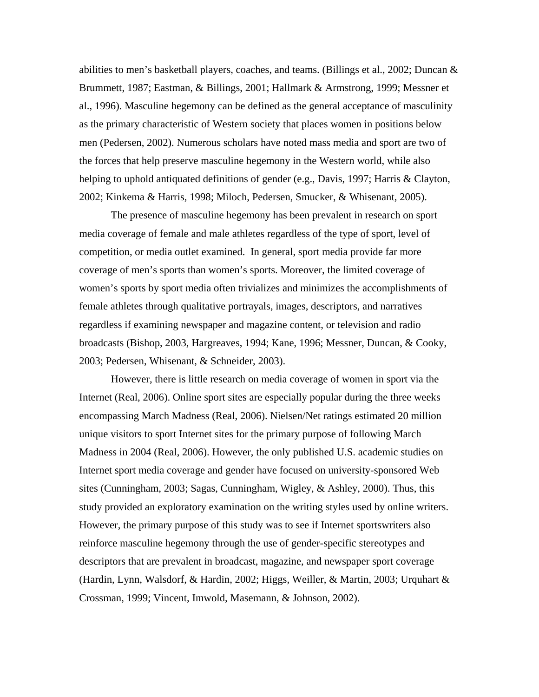abilities to men's basketball players, coaches, and teams. (Billings et al., 2002; Duncan  $\&$ Brummett, 1987; Eastman, & Billings, 2001; Hallmark & Armstrong, 1999; Messner et al., 1996). Masculine hegemony can be defined as the general acceptance of masculinity as the primary characteristic of Western society that places women in positions below men (Pedersen, 2002). Numerous scholars have noted mass media and sport are two of the forces that help preserve masculine hegemony in the Western world, while also helping to uphold antiquated definitions of gender (e.g., Davis, 1997; Harris & Clayton, 2002; Kinkema & Harris, 1998; Miloch, Pedersen, Smucker, & Whisenant, 2005).

The presence of masculine hegemony has been prevalent in research on sport media coverage of female and male athletes regardless of the type of sport, level of competition, or media outlet examined. In general, sport media provide far more coverage of men's sports than women's sports. Moreover, the limited coverage of women's sports by sport media often trivializes and minimizes the accomplishments of female athletes through qualitative portrayals, images, descriptors, and narratives regardless if examining newspaper and magazine content, or television and radio broadcasts (Bishop, 2003, Hargreaves, 1994; Kane, 1996; Messner, Duncan, & Cooky, 2003; Pedersen, Whisenant, & Schneider, 2003).

However, there is little research on media coverage of women in sport via the Internet (Real, 2006). Online sport sites are especially popular during the three weeks encompassing March Madness (Real, 2006). Nielsen/Net ratings estimated 20 million unique visitors to sport Internet sites for the primary purpose of following March Madness in 2004 (Real, 2006). However, the only published U.S. academic studies on Internet sport media coverage and gender have focused on university-sponsored Web sites (Cunningham, 2003; Sagas, Cunningham, Wigley, & Ashley, 2000). Thus, this study provided an exploratory examination on the writing styles used by online writers. However, the primary purpose of this study was to see if Internet sportswriters also reinforce masculine hegemony through the use of gender-specific stereotypes and descriptors that are prevalent in broadcast, magazine, and newspaper sport coverage (Hardin, Lynn, Walsdorf, & Hardin, 2002; Higgs, Weiller, & Martin, 2003; Urquhart & Crossman, 1999; Vincent, Imwold, Masemann, & Johnson, 2002).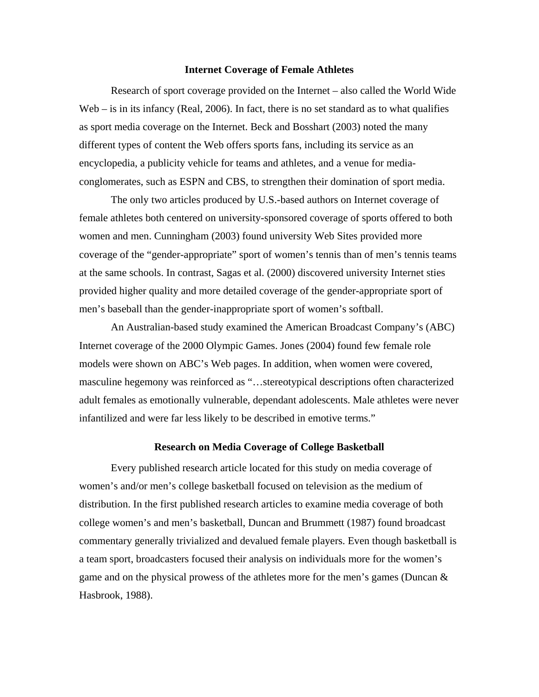#### **Internet Coverage of Female Athletes**

Research of sport coverage provided on the Internet – also called the World Wide Web – is in its infancy (Real, 2006). In fact, there is no set standard as to what qualifies as sport media coverage on the Internet. Beck and Bosshart (2003) noted the many different types of content the Web offers sports fans, including its service as an encyclopedia, a publicity vehicle for teams and athletes, and a venue for mediaconglomerates, such as ESPN and CBS, to strengthen their domination of sport media.

The only two articles produced by U.S.-based authors on Internet coverage of female athletes both centered on university-sponsored coverage of sports offered to both women and men. Cunningham (2003) found university Web Sites provided more coverage of the "gender-appropriate" sport of women's tennis than of men's tennis teams at the same schools. In contrast, Sagas et al. (2000) discovered university Internet sties provided higher quality and more detailed coverage of the gender-appropriate sport of men's baseball than the gender-inappropriate sport of women's softball.

An Australian-based study examined the American Broadcast Company's (ABC) Internet coverage of the 2000 Olympic Games. Jones (2004) found few female role models were shown on ABC's Web pages. In addition, when women were covered, masculine hegemony was reinforced as "…stereotypical descriptions often characterized adult females as emotionally vulnerable, dependant adolescents. Male athletes were never infantilized and were far less likely to be described in emotive terms."

## **Research on Media Coverage of College Basketball**

Every published research article located for this study on media coverage of women's and/or men's college basketball focused on television as the medium of distribution. In the first published research articles to examine media coverage of both college women's and men's basketball, Duncan and Brummett (1987) found broadcast commentary generally trivialized and devalued female players. Even though basketball is a team sport, broadcasters focused their analysis on individuals more for the women's game and on the physical prowess of the athletes more for the men's games (Duncan  $\&$ Hasbrook, 1988).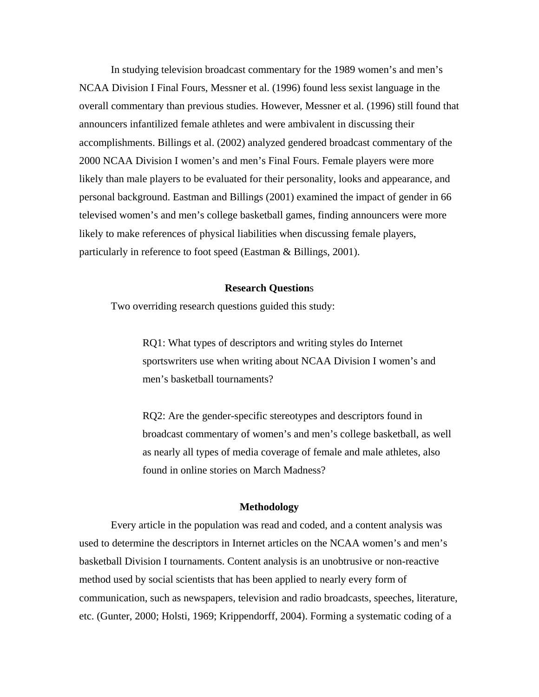In studying television broadcast commentary for the 1989 women's and men's NCAA Division I Final Fours, Messner et al. (1996) found less sexist language in the overall commentary than previous studies. However, Messner et al. (1996) still found that announcers infantilized female athletes and were ambivalent in discussing their accomplishments. Billings et al. (2002) analyzed gendered broadcast commentary of the 2000 NCAA Division I women's and men's Final Fours. Female players were more likely than male players to be evaluated for their personality, looks and appearance, and personal background. Eastman and Billings (2001) examined the impact of gender in 66 televised women's and men's college basketball games, finding announcers were more likely to make references of physical liabilities when discussing female players, particularly in reference to foot speed (Eastman & Billings, 2001).

## **Research Question**s

Two overriding research questions guided this study:

RQ1: What types of descriptors and writing styles do Internet sportswriters use when writing about NCAA Division I women's and men's basketball tournaments?

RQ2: Are the gender-specific stereotypes and descriptors found in broadcast commentary of women's and men's college basketball, as well as nearly all types of media coverage of female and male athletes, also found in online stories on March Madness?

## **Methodology**

 Every article in the population was read and coded, and a content analysis was used to determine the descriptors in Internet articles on the NCAA women's and men's basketball Division I tournaments. Content analysis is an unobtrusive or non-reactive method used by social scientists that has been applied to nearly every form of communication, such as newspapers, television and radio broadcasts, speeches, literature, etc. (Gunter, 2000; Holsti, 1969; Krippendorff, 2004). Forming a systematic coding of a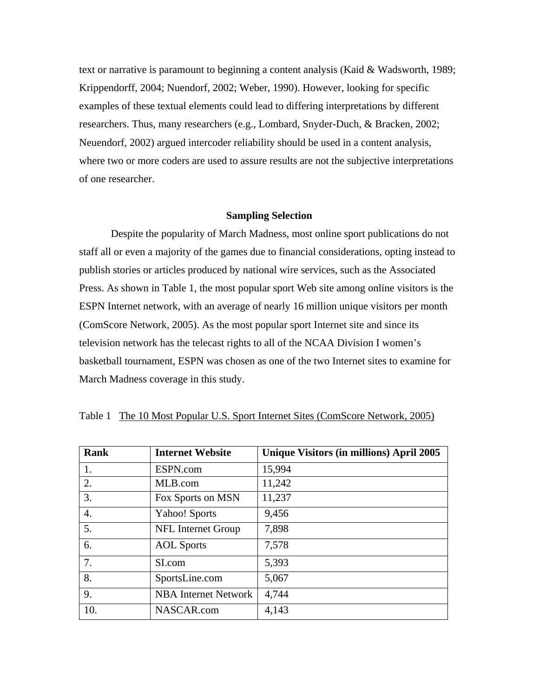text or narrative is paramount to beginning a content analysis (Kaid & Wadsworth, 1989; Krippendorff, 2004; Nuendorf, 2002; Weber, 1990). However, looking for specific examples of these textual elements could lead to differing interpretations by different researchers. Thus, many researchers (e.g., Lombard, Snyder-Duch, & Bracken, 2002; Neuendorf, 2002) argued intercoder reliability should be used in a content analysis, where two or more coders are used to assure results are not the subjective interpretations of one researcher.

## **Sampling Selection**

Despite the popularity of March Madness, most online sport publications do not staff all or even a majority of the games due to financial considerations, opting instead to publish stories or articles produced by national wire services, such as the Associated Press. As shown in Table 1, the most popular sport Web site among online visitors is the ESPN Internet network, with an average of nearly 16 million unique visitors per month (ComScore Network, 2005). As the most popular sport Internet site and since its television network has the telecast rights to all of the NCAA Division I women's basketball tournament, ESPN was chosen as one of the two Internet sites to examine for March Madness coverage in this study.

| <b>Rank</b> | <b>Internet Website</b>     | Unique Visitors (in millions) April 2005 |
|-------------|-----------------------------|------------------------------------------|
| 1.          | ESPN.com                    | 15,994                                   |
| 2.          | MLB.com                     | 11,242                                   |
| 3.          | Fox Sports on MSN           | 11,237                                   |
| 4.          | <b>Yahoo!</b> Sports        | 9,456                                    |
| 5.          | NFL Internet Group          | 7,898                                    |
| 6.          | <b>AOL</b> Sports           | 7,578                                    |
| 7.          | SI.com                      | 5,393                                    |
| 8.          | SportsLine.com              | 5,067                                    |
| 9.          | <b>NBA Internet Network</b> | 4,744                                    |
| 10.         | NASCAR.com                  | 4,143                                    |

Table 1 The 10 Most Popular U.S. Sport Internet Sites (ComScore Network, 2005)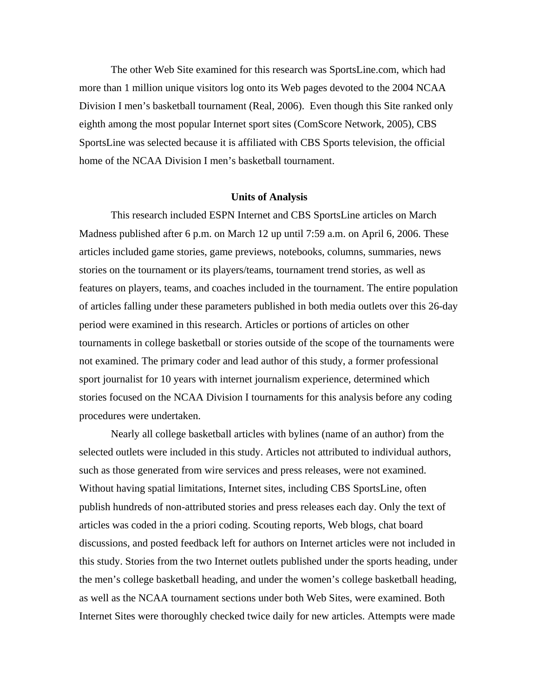The other Web Site examined for this research was SportsLine.com, which had more than 1 million unique visitors log onto its Web pages devoted to the 2004 NCAA Division I men's basketball tournament (Real, 2006). Even though this Site ranked only eighth among the most popular Internet sport sites (ComScore Network, 2005), CBS SportsLine was selected because it is affiliated with CBS Sports television, the official home of the NCAA Division I men's basketball tournament.

# **Units of Analysis**

This research included ESPN Internet and CBS SportsLine articles on March Madness published after 6 p.m. on March 12 up until 7:59 a.m. on April 6, 2006. These articles included game stories, game previews, notebooks, columns, summaries, news stories on the tournament or its players/teams, tournament trend stories, as well as features on players, teams, and coaches included in the tournament. The entire population of articles falling under these parameters published in both media outlets over this 26-day period were examined in this research. Articles or portions of articles on other tournaments in college basketball or stories outside of the scope of the tournaments were not examined. The primary coder and lead author of this study, a former professional sport journalist for 10 years with internet journalism experience, determined which stories focused on the NCAA Division I tournaments for this analysis before any coding procedures were undertaken.

Nearly all college basketball articles with bylines (name of an author) from the selected outlets were included in this study. Articles not attributed to individual authors, such as those generated from wire services and press releases, were not examined. Without having spatial limitations, Internet sites, including CBS SportsLine, often publish hundreds of non-attributed stories and press releases each day. Only the text of articles was coded in the a priori coding. Scouting reports, Web blogs, chat board discussions, and posted feedback left for authors on Internet articles were not included in this study. Stories from the two Internet outlets published under the sports heading, under the men's college basketball heading, and under the women's college basketball heading, as well as the NCAA tournament sections under both Web Sites, were examined. Both Internet Sites were thoroughly checked twice daily for new articles. Attempts were made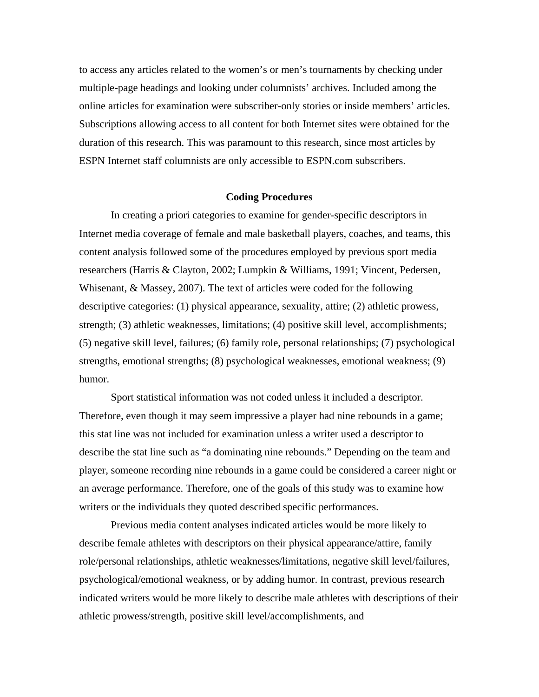to access any articles related to the women's or men's tournaments by checking under multiple-page headings and looking under columnists' archives. Included among the online articles for examination were subscriber-only stories or inside members' articles. Subscriptions allowing access to all content for both Internet sites were obtained for the duration of this research. This was paramount to this research, since most articles by ESPN Internet staff columnists are only accessible to ESPN.com subscribers.

## **Coding Procedures**

In creating a priori categories to examine for gender-specific descriptors in Internet media coverage of female and male basketball players, coaches, and teams, this content analysis followed some of the procedures employed by previous sport media researchers (Harris & Clayton, 2002; Lumpkin & Williams, 1991; Vincent, Pedersen, Whisenant, & Massey, 2007). The text of articles were coded for the following descriptive categories: (1) physical appearance, sexuality, attire; (2) athletic prowess, strength; (3) athletic weaknesses, limitations; (4) positive skill level, accomplishments; (5) negative skill level, failures; (6) family role, personal relationships; (7) psychological strengths, emotional strengths; (8) psychological weaknesses, emotional weakness; (9) humor.

Sport statistical information was not coded unless it included a descriptor. Therefore, even though it may seem impressive a player had nine rebounds in a game; this stat line was not included for examination unless a writer used a descriptor to describe the stat line such as "a dominating nine rebounds." Depending on the team and player, someone recording nine rebounds in a game could be considered a career night or an average performance. Therefore, one of the goals of this study was to examine how writers or the individuals they quoted described specific performances.

Previous media content analyses indicated articles would be more likely to describe female athletes with descriptors on their physical appearance/attire, family role/personal relationships, athletic weaknesses/limitations, negative skill level/failures, psychological/emotional weakness, or by adding humor. In contrast, previous research indicated writers would be more likely to describe male athletes with descriptions of their athletic prowess/strength, positive skill level/accomplishments, and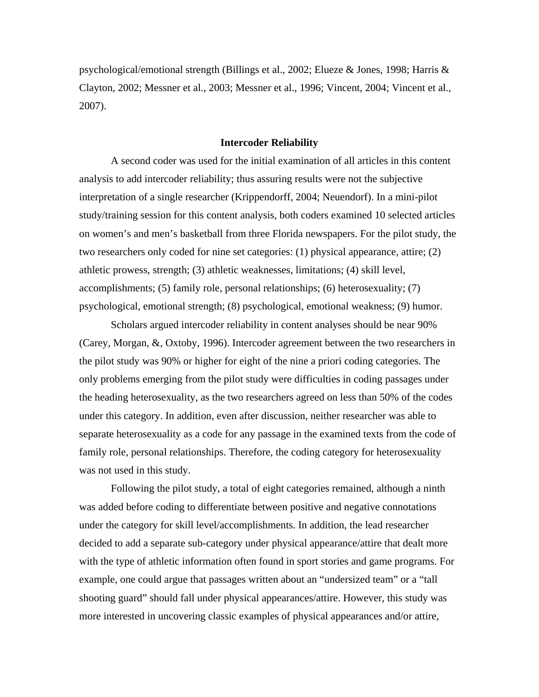psychological/emotional strength (Billings et al., 2002; Elueze & Jones, 1998; Harris & Clayton, 2002; Messner et al., 2003; Messner et al., 1996; Vincent, 2004; Vincent et al., 2007).

# **Intercoder Reliability**

A second coder was used for the initial examination of all articles in this content analysis to add intercoder reliability; thus assuring results were not the subjective interpretation of a single researcher (Krippendorff, 2004; Neuendorf). In a mini-pilot study/training session for this content analysis, both coders examined 10 selected articles on women's and men's basketball from three Florida newspapers. For the pilot study, the two researchers only coded for nine set categories: (1) physical appearance, attire; (2) athletic prowess, strength; (3) athletic weaknesses, limitations; (4) skill level, accomplishments; (5) family role, personal relationships; (6) heterosexuality; (7) psychological, emotional strength; (8) psychological, emotional weakness; (9) humor.

Scholars argued intercoder reliability in content analyses should be near 90% (Carey, Morgan, &, Oxtoby, 1996). Intercoder agreement between the two researchers in the pilot study was 90% or higher for eight of the nine a priori coding categories. The only problems emerging from the pilot study were difficulties in coding passages under the heading heterosexuality, as the two researchers agreed on less than 50% of the codes under this category. In addition, even after discussion, neither researcher was able to separate heterosexuality as a code for any passage in the examined texts from the code of family role, personal relationships. Therefore, the coding category for heterosexuality was not used in this study.

Following the pilot study, a total of eight categories remained, although a ninth was added before coding to differentiate between positive and negative connotations under the category for skill level/accomplishments. In addition, the lead researcher decided to add a separate sub-category under physical appearance/attire that dealt more with the type of athletic information often found in sport stories and game programs. For example, one could argue that passages written about an "undersized team" or a "tall shooting guard" should fall under physical appearances/attire. However, this study was more interested in uncovering classic examples of physical appearances and/or attire,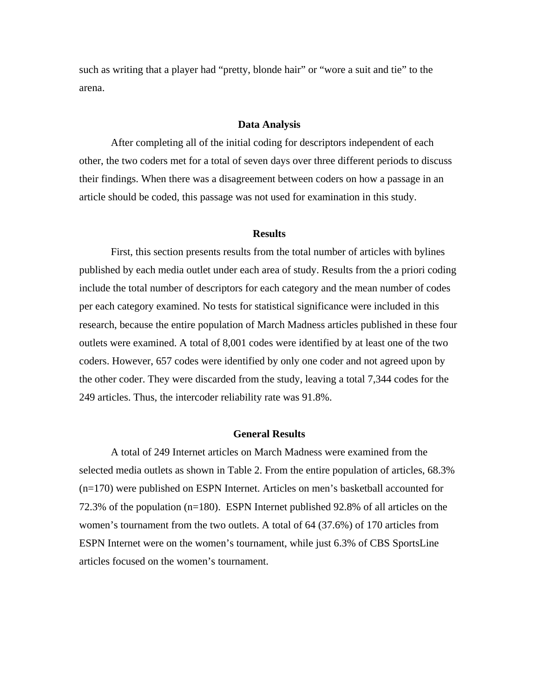such as writing that a player had "pretty, blonde hair" or "wore a suit and tie" to the arena.

## **Data Analysis**

After completing all of the initial coding for descriptors independent of each other, the two coders met for a total of seven days over three different periods to discuss their findings. When there was a disagreement between coders on how a passage in an article should be coded, this passage was not used for examination in this study.

#### **Results**

First, this section presents results from the total number of articles with bylines published by each media outlet under each area of study. Results from the a priori coding include the total number of descriptors for each category and the mean number of codes per each category examined. No tests for statistical significance were included in this research, because the entire population of March Madness articles published in these four outlets were examined. A total of 8,001 codes were identified by at least one of the two coders. However, 657 codes were identified by only one coder and not agreed upon by the other coder. They were discarded from the study, leaving a total 7,344 codes for the 249 articles. Thus, the intercoder reliability rate was 91.8%.

## **General Results**

 A total of 249 Internet articles on March Madness were examined from the selected media outlets as shown in Table 2. From the entire population of articles, 68.3% (n=170) were published on ESPN Internet. Articles on men's basketball accounted for 72.3% of the population (n=180). ESPN Internet published 92.8% of all articles on the women's tournament from the two outlets. A total of 64 (37.6%) of 170 articles from ESPN Internet were on the women's tournament, while just 6.3% of CBS SportsLine articles focused on the women's tournament.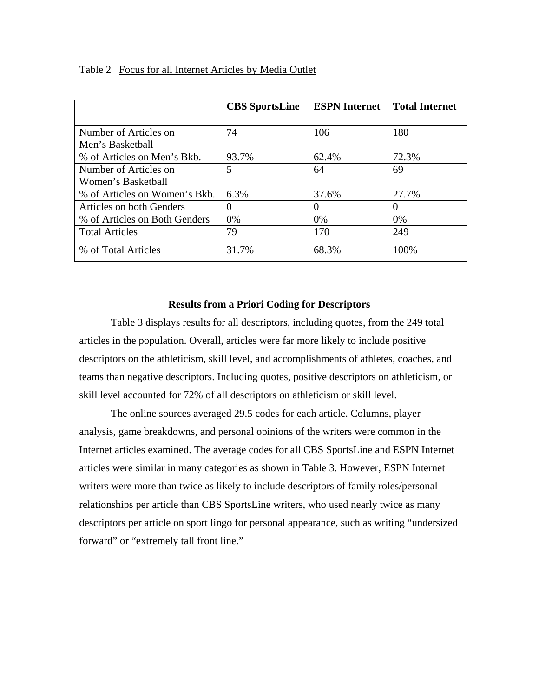|                               | <b>CBS</b> SportsLine | <b>ESPN Internet</b> | <b>Total Internet</b> |
|-------------------------------|-----------------------|----------------------|-----------------------|
|                               |                       |                      |                       |
| Number of Articles on         | 74                    | 106                  | 180                   |
| Men's Basketball              |                       |                      |                       |
| % of Articles on Men's Bkb.   | 93.7%                 | 62.4%                | 72.3%                 |
| Number of Articles on         | 5                     | 64                   | 69                    |
| Women's Basketball            |                       |                      |                       |
| % of Articles on Women's Bkb. | 6.3%                  | 37.6%                | 27.7%                 |
| Articles on both Genders      | 0                     | $\theta$             | $\theta$              |
| % of Articles on Both Genders | 0%                    | $0\%$                | $0\%$                 |
| <b>Total Articles</b>         | 79                    | 170                  | 249                   |
| % of Total Articles           | 31.7%                 | 68.3%                | 100%                  |

Table 2 Focus for all Internet Articles by Media Outlet

# **Results from a Priori Coding for Descriptors**

 Table 3 displays results for all descriptors, including quotes, from the 249 total articles in the population. Overall, articles were far more likely to include positive descriptors on the athleticism, skill level, and accomplishments of athletes, coaches, and teams than negative descriptors. Including quotes, positive descriptors on athleticism, or skill level accounted for 72% of all descriptors on athleticism or skill level.

The online sources averaged 29.5 codes for each article. Columns, player analysis, game breakdowns, and personal opinions of the writers were common in the Internet articles examined. The average codes for all CBS SportsLine and ESPN Internet articles were similar in many categories as shown in Table 3. However, ESPN Internet writers were more than twice as likely to include descriptors of family roles/personal relationships per article than CBS SportsLine writers, who used nearly twice as many descriptors per article on sport lingo for personal appearance, such as writing "undersized forward" or "extremely tall front line."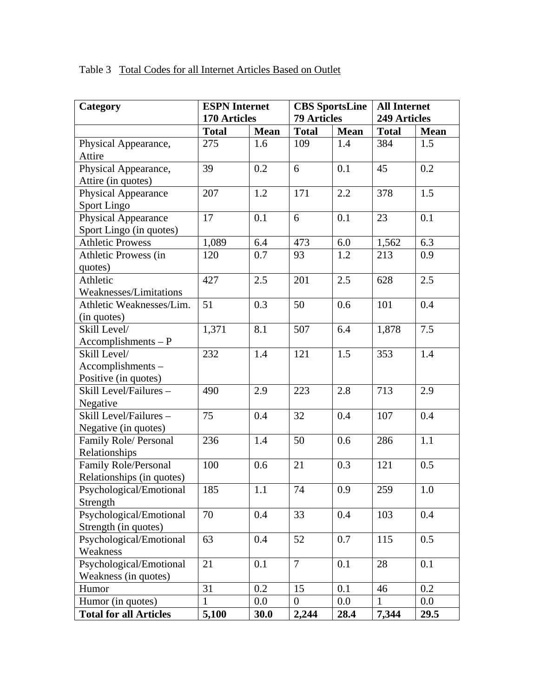| Category                      | <b>ESPN</b> Internet |             | <b>CBS</b> SportsLine |             | <b>All Internet</b> |             |
|-------------------------------|----------------------|-------------|-----------------------|-------------|---------------------|-------------|
|                               | 170 Articles         |             | <b>79 Articles</b>    |             | 249 Articles        |             |
|                               | <b>Total</b>         | <b>Mean</b> | <b>Total</b>          | <b>Mean</b> | <b>Total</b>        | <b>Mean</b> |
| Physical Appearance,          | 275                  | 1.6         | 109                   | 1.4         | 384                 | 1.5         |
| Attire                        |                      |             |                       |             |                     |             |
| Physical Appearance,          | 39                   | 0.2         | 6                     | 0.1         | 45                  | 0.2         |
| Attire (in quotes)            |                      |             |                       |             |                     |             |
| <b>Physical Appearance</b>    | 207                  | 1.2         | 171                   | 2.2         | 378                 | 1.5         |
| Sport Lingo                   |                      |             |                       |             |                     |             |
| Physical Appearance           | 17                   | 0.1         | 6                     | 0.1         | 23                  | 0.1         |
| Sport Lingo (in quotes)       |                      |             |                       |             |                     |             |
| <b>Athletic Prowess</b>       | 1,089                | 6.4         | 473                   | 6.0         | 1,562               | 6.3         |
| Athletic Prowess (in          | 120                  | 0.7         | 93                    | 1.2         | 213                 | 0.9         |
| quotes)                       |                      |             |                       |             |                     |             |
| Athletic                      | 427                  | 2.5         | 201                   | 2.5         | 628                 | 2.5         |
| Weaknesses/Limitations        |                      |             |                       |             |                     |             |
| Athletic Weaknesses/Lim.      | 51                   | 0.3         | 50                    | 0.6         | 101                 | 0.4         |
| (in quotes)                   |                      |             |                       |             |                     |             |
| Skill Level/                  | 1,371                | 8.1         | 507                   | 6.4         | 1,878               | 7.5         |
| $A \neq P$                    |                      |             |                       |             |                     |             |
| Skill Level/                  | 232                  | 1.4         | 121                   | 1.5         | 353                 | 1.4         |
| Accomplishments-              |                      |             |                       |             |                     |             |
| Positive (in quotes)          |                      |             |                       |             |                     |             |
| Skill Level/Failures-         | 490                  | 2.9         | 223                   | 2.8         | 713                 | 2.9         |
| Negative                      |                      |             |                       |             |                     |             |
| Skill Level/Failures-         | 75                   | 0.4         | 32                    | 0.4         | 107                 | 0.4         |
| Negative (in quotes)          |                      |             |                       |             |                     |             |
| Family Role/ Personal         | 236                  | 1.4         | 50                    | 0.6         | 286                 | 1.1         |
| Relationships                 |                      |             |                       |             |                     |             |
| Family Role/Personal          | 100                  | 0.6         | 21                    | 0.3         | 121                 | 0.5         |
| Relationships (in quotes)     |                      |             |                       |             |                     |             |
| Psychological/Emotional       | 185                  | 1.1         | 74                    | 0.9         | 259                 | 1.0         |
| Strength                      |                      |             |                       |             |                     |             |
| Psychological/Emotional       | 70                   | 0.4         | 33                    | 0.4         | 103                 | 0.4         |
| Strength (in quotes)          |                      |             |                       |             |                     |             |
| Psychological/Emotional       | 63                   | 0.4         | 52                    | 0.7         | 115                 | 0.5         |
| Weakness                      |                      |             |                       |             |                     |             |
| Psychological/Emotional       | 21                   | 0.1         | 7                     | 0.1         | 28                  | 0.1         |
| Weakness (in quotes)          |                      |             |                       |             |                     |             |
| Humor                         | 31                   | 0.2         | 15                    | 0.1         | 46                  | 0.2         |
| Humor (in quotes)             | $\mathbf{1}$         | $0.0\,$     | $\mathbf{0}$          | $0.0\,$     | 1                   | $0.0\,$     |
| <b>Total for all Articles</b> | 5,100                | 30.0        | 2,244                 | 28.4        | 7,344               | 29.5        |

Table 3 Total Codes for all Internet Articles Based on Outlet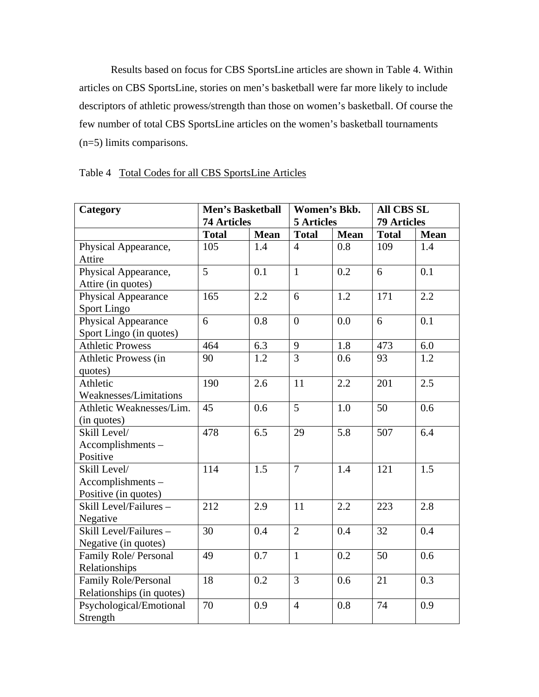Results based on focus for CBS SportsLine articles are shown in Table 4. Within articles on CBS SportsLine, stories on men's basketball were far more likely to include descriptors of athletic prowess/strength than those on women's basketball. Of course the few number of total CBS SportsLine articles on the women's basketball tournaments (n=5) limits comparisons.

| Category                                                 | <b>Men's Basketball</b><br><b>74 Articles</b> |             | Women's Bkb.<br><b>5</b> Articles |             | <b>All CBS SL</b><br><b>79 Articles</b> |             |
|----------------------------------------------------------|-----------------------------------------------|-------------|-----------------------------------|-------------|-----------------------------------------|-------------|
|                                                          | <b>Total</b>                                  | <b>Mean</b> | <b>Total</b>                      | <b>Mean</b> | <b>Total</b>                            | <b>Mean</b> |
| Physical Appearance,<br>Attire                           | 105                                           | 1.4         | $\overline{4}$                    | 0.8         | 109                                     | 1.4         |
| Physical Appearance,<br>Attire (in quotes)               | $\overline{5}$                                | 0.1         | $\mathbf{1}$                      | 0.2         | 6                                       | 0.1         |
| <b>Physical Appearance</b><br>Sport Lingo                | 165                                           | 2.2         | 6                                 | 1.2         | 171                                     | 2.2         |
| Physical Appearance<br>Sport Lingo (in quotes)           | 6                                             | 0.8         | $\overline{0}$                    | 0.0         | 6                                       | 0.1         |
| <b>Athletic Prowess</b>                                  | 464                                           | 6.3         | 9                                 | 1.8         | 473                                     | 6.0         |
| Athletic Prowess (in<br>quotes)                          | 90                                            | 1.2         | $\overline{3}$                    | 0.6         | 93                                      | 1.2         |
| Athletic<br>Weaknesses/Limitations                       | 190                                           | 2.6         | 11                                | 2.2         | 201                                     | 2.5         |
| Athletic Weaknesses/Lim.<br>(in quotes)                  | 45                                            | 0.6         | 5                                 | 1.0         | 50                                      | 0.6         |
| Skill Level/<br>Accomplishments-<br>Positive             | 478                                           | 6.5         | 29                                | 5.8         | 507                                     | 6.4         |
| Skill Level/<br>Accomplishments-<br>Positive (in quotes) | 114                                           | 1.5         | $\overline{7}$                    | 1.4         | 121                                     | 1.5         |
| Skill Level/Failures -<br>Negative                       | 212                                           | 2.9         | 11                                | 2.2         | 223                                     | 2.8         |
| Skill Level/Failures -<br>Negative (in quotes)           | 30                                            | 0.4         | $\overline{2}$                    | 0.4         | 32                                      | 0.4         |
| Family Role/ Personal<br>Relationships                   | 49                                            | 0.7         | $\overline{1}$                    | 0.2         | 50                                      | 0.6         |
| <b>Family Role/Personal</b><br>Relationships (in quotes) | 18                                            | 0.2         | $\overline{3}$                    | 0.6         | 21                                      | 0.3         |
| Psychological/Emotional<br>Strength                      | 70                                            | 0.9         | $\overline{4}$                    | 0.8         | 74                                      | 0.9         |

# Table 4 Total Codes for all CBS SportsLine Articles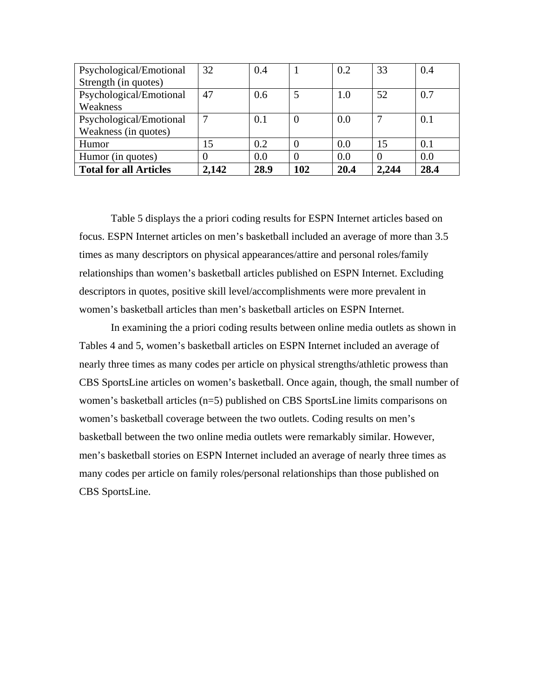| Psychological/Emotional       | 32    | 0.4  |          | 0.2  | 33    | 0.4  |
|-------------------------------|-------|------|----------|------|-------|------|
| Strength (in quotes)          |       |      |          |      |       |      |
| Psychological/Emotional       | 47    | 0.6  |          | 1.0  | 52    | 0.7  |
| Weakness                      |       |      |          |      |       |      |
| Psychological/Emotional       |       | 0.1  | $\theta$ | 0.0  |       | 0.1  |
| Weakness (in quotes)          |       |      |          |      |       |      |
| Humor                         | 15    | 0.2  | 0        | 0.0  | 15    | 0.1  |
| Humor (in quotes)             |       | 0.0  | 0        | 0.0  |       | 0.0  |
| <b>Total for all Articles</b> | 2,142 | 28.9 | 102      | 20.4 | 2.244 | 28.4 |

Table 5 displays the a priori coding results for ESPN Internet articles based on focus. ESPN Internet articles on men's basketball included an average of more than 3.5 times as many descriptors on physical appearances/attire and personal roles/family relationships than women's basketball articles published on ESPN Internet. Excluding descriptors in quotes, positive skill level/accomplishments were more prevalent in women's basketball articles than men's basketball articles on ESPN Internet.

In examining the a priori coding results between online media outlets as shown in Tables 4 and 5, women's basketball articles on ESPN Internet included an average of nearly three times as many codes per article on physical strengths/athletic prowess than CBS SportsLine articles on women's basketball. Once again, though, the small number of women's basketball articles (n=5) published on CBS SportsLine limits comparisons on women's basketball coverage between the two outlets. Coding results on men's basketball between the two online media outlets were remarkably similar. However, men's basketball stories on ESPN Internet included an average of nearly three times as many codes per article on family roles/personal relationships than those published on CBS SportsLine.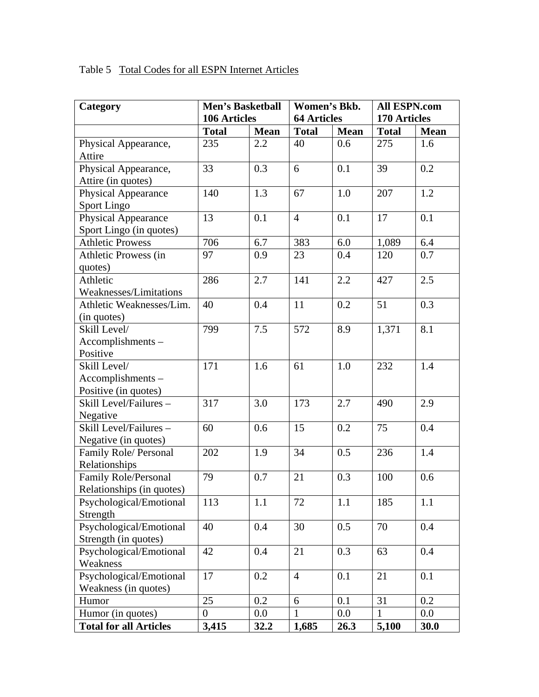| Table 5 Total Codes for all ESPN Internet Articles |
|----------------------------------------------------|
|----------------------------------------------------|

| Category                      | <b>Men's Basketball</b> |             | Women's Bkb.       |             | <b>All ESPN.com</b> |             |
|-------------------------------|-------------------------|-------------|--------------------|-------------|---------------------|-------------|
|                               | 106 Articles            |             | <b>64 Articles</b> |             | 170 Articles        |             |
|                               | <b>Total</b>            | <b>Mean</b> | <b>Total</b>       | <b>Mean</b> | <b>Total</b>        | <b>Mean</b> |
| Physical Appearance,          | 235                     | 2.2         | 40                 | 0.6         | 275                 | 1.6         |
| Attire                        |                         |             |                    |             |                     |             |
| Physical Appearance,          | 33                      | 0.3         | 6                  | 0.1         | 39                  | 0.2         |
| Attire (in quotes)            |                         |             |                    |             |                     |             |
| Physical Appearance           | 140                     | 1.3         | 67                 | 1.0         | 207                 | 1.2         |
| Sport Lingo                   |                         |             |                    |             |                     |             |
| Physical Appearance           | 13                      | 0.1         | $\overline{4}$     | 0.1         | 17                  | 0.1         |
| Sport Lingo (in quotes)       |                         |             |                    |             |                     |             |
| <b>Athletic Prowess</b>       | 706                     | 6.7         | 383                | 6.0         | 1,089               | 6.4         |
| Athletic Prowess (in          | 97                      | 0.9         | 23                 | 0.4         | 120                 | 0.7         |
| quotes)                       |                         |             |                    |             |                     |             |
| Athletic                      | 286                     | 2.7         | 141                | 2.2         | 427                 | 2.5         |
| Weaknesses/Limitations        |                         |             |                    |             |                     |             |
| Athletic Weaknesses/Lim.      | 40                      | 0.4         | 11                 | 0.2         | 51                  | 0.3         |
| (in quotes)                   |                         |             |                    |             |                     |             |
| Skill Level/                  | 799                     | 7.5         | 572                | 8.9         | 1,371               | 8.1         |
| Accomplishments-              |                         |             |                    |             |                     |             |
| Positive                      |                         |             |                    |             |                     |             |
| Skill Level/                  | 171                     | 1.6         | 61                 | 1.0         | 232                 | 1.4         |
| Accomplishments-              |                         |             |                    |             |                     |             |
| Positive (in quotes)          |                         |             |                    |             |                     |             |
| Skill Level/Failures -        | 317                     | 3.0         | 173                | 2.7         | 490                 | 2.9         |
| Negative                      |                         |             |                    |             |                     |             |
| Skill Level/Failures -        | 60                      | 0.6         | 15                 | 0.2         | 75                  | 0.4         |
| Negative (in quotes)          |                         |             |                    |             |                     |             |
| Family Role/ Personal         | 202                     | 1.9         | 34                 | 0.5         | 236                 | 1.4         |
| Relationships                 |                         |             |                    |             |                     |             |
| Family Role/Personal          | 79                      | 0.7         | 21                 | 0.3         | 100                 | 0.6         |
| Relationships (in quotes)     |                         |             |                    |             |                     |             |
| Psychological/Emotional       | 113                     | 1.1         | 72                 | 1.1         | 185                 | 1.1         |
| Strength                      |                         |             |                    |             |                     |             |
| Psychological/Emotional       | 40                      | 0.4         | 30                 | 0.5         | 70                  | 0.4         |
| Strength (in quotes)          |                         |             |                    |             |                     |             |
| Psychological/Emotional       | 42                      | 0.4         | 21                 | 0.3         | 63                  | 0.4         |
| Weakness                      |                         |             |                    |             |                     |             |
| Psychological/Emotional       | 17                      | 0.2         | $\overline{4}$     | 0.1         | 21                  | 0.1         |
| Weakness (in quotes)          |                         |             |                    |             |                     |             |
| Humor                         | 25                      | 0.2         | 6                  | 0.1         | 31                  | 0.2         |
| Humor (in quotes)             | $\boldsymbol{0}$        | $0.0\,$     | $\mathbf{1}$       | $0.0\,$     | 1                   | $0.0\,$     |
| <b>Total for all Articles</b> | 3,415                   | 32.2        | 1,685              | 26.3        | 5,100               | 30.0        |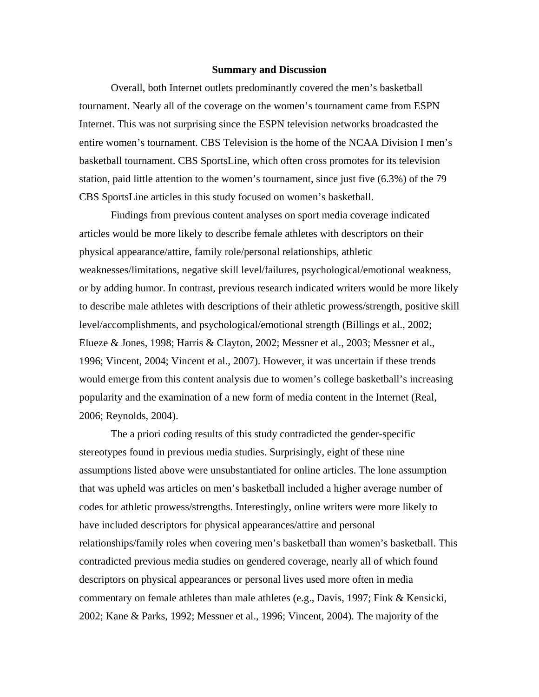#### **Summary and Discussion**

Overall, both Internet outlets predominantly covered the men's basketball tournament. Nearly all of the coverage on the women's tournament came from ESPN Internet. This was not surprising since the ESPN television networks broadcasted the entire women's tournament. CBS Television is the home of the NCAA Division I men's basketball tournament. CBS SportsLine, which often cross promotes for its television station, paid little attention to the women's tournament, since just five (6.3%) of the 79 CBS SportsLine articles in this study focused on women's basketball.

Findings from previous content analyses on sport media coverage indicated articles would be more likely to describe female athletes with descriptors on their physical appearance/attire, family role/personal relationships, athletic weaknesses/limitations, negative skill level/failures, psychological/emotional weakness, or by adding humor. In contrast, previous research indicated writers would be more likely to describe male athletes with descriptions of their athletic prowess/strength, positive skill level/accomplishments, and psychological/emotional strength (Billings et al., 2002; Elueze & Jones, 1998; Harris & Clayton, 2002; Messner et al., 2003; Messner et al., 1996; Vincent, 2004; Vincent et al., 2007). However, it was uncertain if these trends would emerge from this content analysis due to women's college basketball's increasing popularity and the examination of a new form of media content in the Internet (Real, 2006; Reynolds, 2004).

 The a priori coding results of this study contradicted the gender-specific stereotypes found in previous media studies. Surprisingly, eight of these nine assumptions listed above were unsubstantiated for online articles. The lone assumption that was upheld was articles on men's basketball included a higher average number of codes for athletic prowess/strengths. Interestingly, online writers were more likely to have included descriptors for physical appearances/attire and personal relationships/family roles when covering men's basketball than women's basketball. This contradicted previous media studies on gendered coverage, nearly all of which found descriptors on physical appearances or personal lives used more often in media commentary on female athletes than male athletes (e.g., Davis, 1997; Fink & Kensicki, 2002; Kane & Parks, 1992; Messner et al., 1996; Vincent, 2004). The majority of the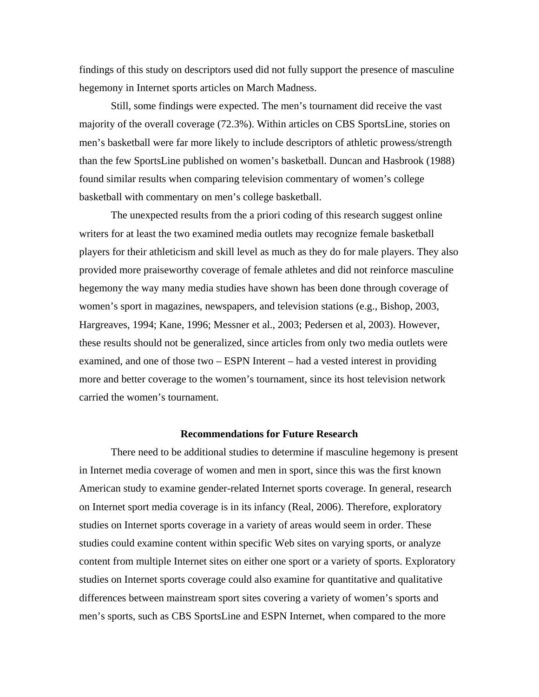findings of this study on descriptors used did not fully support the presence of masculine hegemony in Internet sports articles on March Madness.

Still, some findings were expected. The men's tournament did receive the vast majority of the overall coverage (72.3%). Within articles on CBS SportsLine, stories on men's basketball were far more likely to include descriptors of athletic prowess/strength than the few SportsLine published on women's basketball. Duncan and Hasbrook (1988) found similar results when comparing television commentary of women's college basketball with commentary on men's college basketball.

The unexpected results from the a priori coding of this research suggest online writers for at least the two examined media outlets may recognize female basketball players for their athleticism and skill level as much as they do for male players. They also provided more praiseworthy coverage of female athletes and did not reinforce masculine hegemony the way many media studies have shown has been done through coverage of women's sport in magazines, newspapers, and television stations (e.g., Bishop, 2003, Hargreaves, 1994; Kane, 1996; Messner et al., 2003; Pedersen et al, 2003). However, these results should not be generalized, since articles from only two media outlets were examined, and one of those two – ESPN Interent – had a vested interest in providing more and better coverage to the women's tournament, since its host television network carried the women's tournament.

## **Recommendations for Future Research**

There need to be additional studies to determine if masculine hegemony is present in Internet media coverage of women and men in sport, since this was the first known American study to examine gender-related Internet sports coverage. In general, research on Internet sport media coverage is in its infancy (Real, 2006). Therefore, exploratory studies on Internet sports coverage in a variety of areas would seem in order. These studies could examine content within specific Web sites on varying sports, or analyze content from multiple Internet sites on either one sport or a variety of sports. Exploratory studies on Internet sports coverage could also examine for quantitative and qualitative differences between mainstream sport sites covering a variety of women's sports and men's sports, such as CBS SportsLine and ESPN Internet, when compared to the more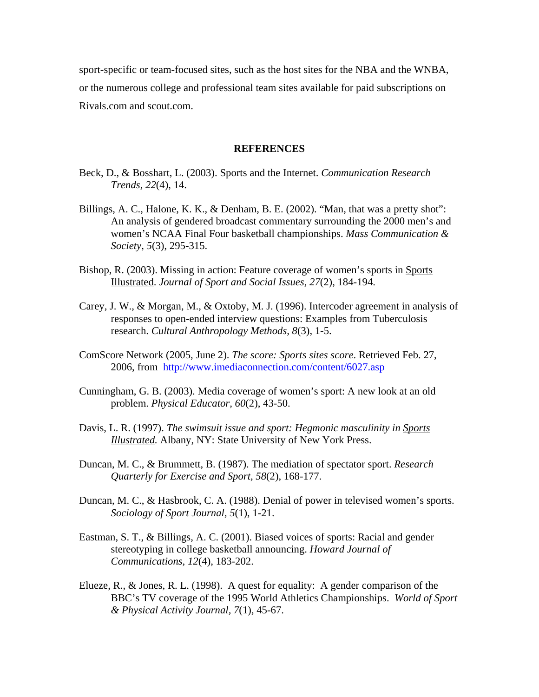sport-specific or team-focused sites, such as the host sites for the NBA and the WNBA, or the numerous college and professional team sites available for paid subscriptions on Rivals.com and scout.com.

## **REFERENCES**

- Beck, D., & Bosshart, L. (2003). Sports and the Internet. *Communication Research Trends, 22*(4), 14.
- Billings, A. C., Halone, K. K., & Denham, B. E. (2002). "Man, that was a pretty shot": An analysis of gendered broadcast commentary surrounding the 2000 men's and women's NCAA Final Four basketball championships. *Mass Communication & Society, 5*(3), 295-315.
- Bishop, R. (2003). Missing in action: Feature coverage of women's sports in Sports Illustrated. *Journal of Sport and Social Issues, 27*(2), 184-194.
- Carey, J. W., & Morgan, M., & Oxtoby, M. J. (1996). Intercoder agreement in analysis of responses to open-ended interview questions: Examples from Tuberculosis research. *Cultural Anthropology Methods, 8*(3), 1-5.
- ComScore Network (2005, June 2). *The score: Sports sites score*. Retrieved Feb. 27, 2006, from http://www.imediaconnection.com/content/6027.asp
- Cunningham, G. B. (2003). Media coverage of women's sport: A new look at an old problem. *Physical Educator, 60*(2), 43-50.
- Davis, L. R. (1997). *The swimsuit issue and sport: Hegmonic masculinity in Sports Illustrated.* Albany, NY: State University of New York Press.
- Duncan, M. C., & Brummett, B. (1987). The mediation of spectator sport. *Research Quarterly for Exercise and Sport, 58*(2), 168-177.
- Duncan, M. C., & Hasbrook, C. A. (1988). Denial of power in televised women's sports. *Sociology of Sport Journal, 5*(1), 1-21.
- Eastman, S. T., & Billings, A. C. (2001). Biased voices of sports: Racial and gender stereotyping in college basketball announcing. *Howard Journal of Communications, 12*(4), 183-202.
- Elueze, R., & Jones, R. L. (1998). A quest for equality: A gender comparison of the BBC's TV coverage of the 1995 World Athletics Championships. *World of Sport & Physical Activity Journal, 7*(1)*,* 45-67.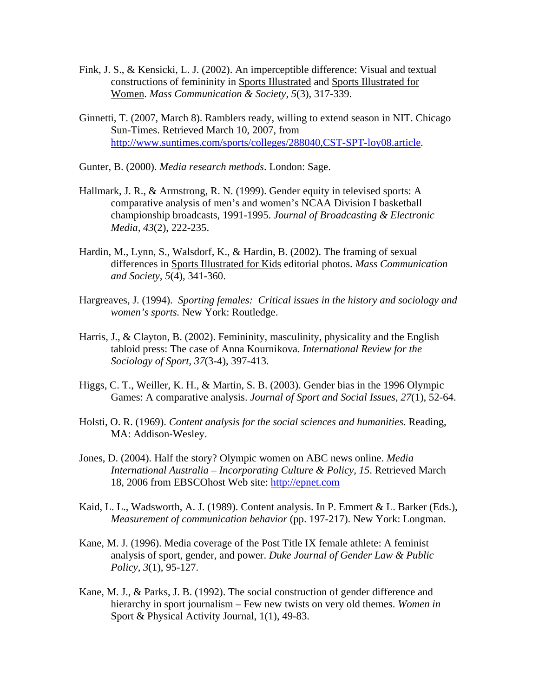- Fink, J. S., & Kensicki, L. J. (2002). An imperceptible difference: Visual and textual constructions of femininity in Sports Illustrated and Sports Illustrated for Women. *Mass Communication & Society, 5*(3), 317-339.
- Ginnetti, T. (2007, March 8). Ramblers ready, willing to extend season in NIT. Chicago Sun-Times. Retrieved March 10, 2007, from http://www.suntimes.com/sports/colleges/288040,CST-SPT-loy08.article.
- Gunter, B. (2000). *Media research methods*. London: Sage.
- Hallmark, J. R., & Armstrong, R. N. (1999). Gender equity in televised sports: A comparative analysis of men's and women's NCAA Division I basketball championship broadcasts, 1991-1995. *Journal of Broadcasting & Electronic Media, 43*(2), 222-235.
- Hardin, M., Lynn, S., Walsdorf, K., & Hardin, B. (2002). The framing of sexual differences in Sports Illustrated for Kids editorial photos. *Mass Communication and Society, 5*(4), 341-360.
- Hargreaves, J. (1994). *Sporting females: Critical issues in the history and sociology and women's sports.* New York: Routledge.
- Harris, J., & Clayton, B. (2002). Femininity, masculinity, physicality and the English tabloid press: The case of Anna Kournikova. *International Review for the Sociology of Sport, 37*(3-4), 397-413.
- Higgs, C. T., Weiller, K. H., & Martin, S. B. (2003). Gender bias in the 1996 Olympic Games: A comparative analysis. *Journal of Sport and Social Issues, 27*(1), 52-64.
- Holsti, O. R. (1969). *Content analysis for the social sciences and humanities*. Reading, MA: Addison-Wesley.
- Jones, D. (2004). Half the story? Olympic women on ABC news online. *Media International Australia – Incorporating Culture & Policy, 15*. Retrieved March 18, 2006 from EBSCOhost Web site: http://epnet.com
- Kaid, L. L., Wadsworth, A. J. (1989). Content analysis. In P. Emmert & L. Barker (Eds.), *Measurement of communication behavior* (pp. 197-217). New York: Longman.
- Kane, M. J. (1996). Media coverage of the Post Title IX female athlete: A feminist analysis of sport, gender, and power. *Duke Journal of Gender Law & Public Policy, 3*(1), 95-127.
- Kane, M. J., & Parks, J. B. (1992). The social construction of gender difference and hierarchy in sport journalism – Few new twists on very old themes. *Women in*  Sport & Physical Activity Journal, 1(1), 49-83.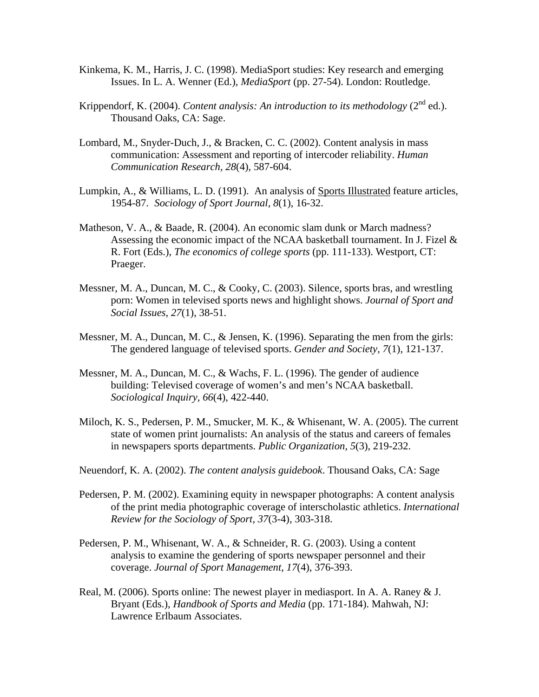- Kinkema, K. M., Harris, J. C. (1998). MediaSport studies: Key research and emerging Issues. In L. A. Wenner (Ed.), *MediaSport* (pp. 27-54). London: Routledge.
- Krippendorf, K. (2004). *Content analysis: An introduction to its methodology*  $(2^{nd}$  ed.). Thousand Oaks, CA: Sage.
- Lombard, M., Snyder-Duch, J., & Bracken, C. C. (2002). Content analysis in mass communication: Assessment and reporting of intercoder reliability. *Human Communication Research, 28*(4), 587-604.
- Lumpkin, A., & Williams, L. D. (1991). An analysis of Sports Illustrated feature articles, 1954-87. *Sociology of Sport Journal, 8*(1), 16-32.
- Matheson, V. A., & Baade, R. (2004). An economic slam dunk or March madness? Assessing the economic impact of the NCAA basketball tournament. In J. Fizel & R. Fort (Eds.), *The economics of college sports* (pp. 111-133). Westport, CT: Praeger.
- Messner, M. A., Duncan, M. C., & Cooky, C. (2003). Silence, sports bras, and wrestling porn: Women in televised sports news and highlight shows. *Journal of Sport and Social Issues, 27*(1), 38-51.
- Messner, M. A., Duncan, M. C., & Jensen, K. (1996). Separating the men from the girls: The gendered language of televised sports. *Gender and Society, 7*(1), 121-137.
- Messner, M. A., Duncan, M. C., & Wachs, F. L. (1996). The gender of audience building: Televised coverage of women's and men's NCAA basketball. *Sociological Inquiry, 66*(4), 422-440.
- Miloch, K. S., Pedersen, P. M., Smucker, M. K., & Whisenant, W. A. (2005). The current state of women print journalists: An analysis of the status and careers of females in newspapers sports departments. *Public Organization, 5*(3), 219-232.
- Neuendorf, K. A. (2002). *The content analysis guidebook*. Thousand Oaks, CA: Sage
- Pedersen, P. M. (2002). Examining equity in newspaper photographs: A content analysis of the print media photographic coverage of interscholastic athletics. *International Review for the Sociology of Sport, 37*(3-4), 303-318.
- Pedersen, P. M., Whisenant, W. A., & Schneider, R. G. (2003). Using a content analysis to examine the gendering of sports newspaper personnel and their coverage. *Journal of Sport Management, 17*(4), 376-393.
- Real, M. (2006). Sports online: The newest player in mediasport. In A. A. Raney & J. Bryant (Eds.), *Handbook of Sports and Media* (pp. 171-184). Mahwah, NJ: Lawrence Erlbaum Associates.